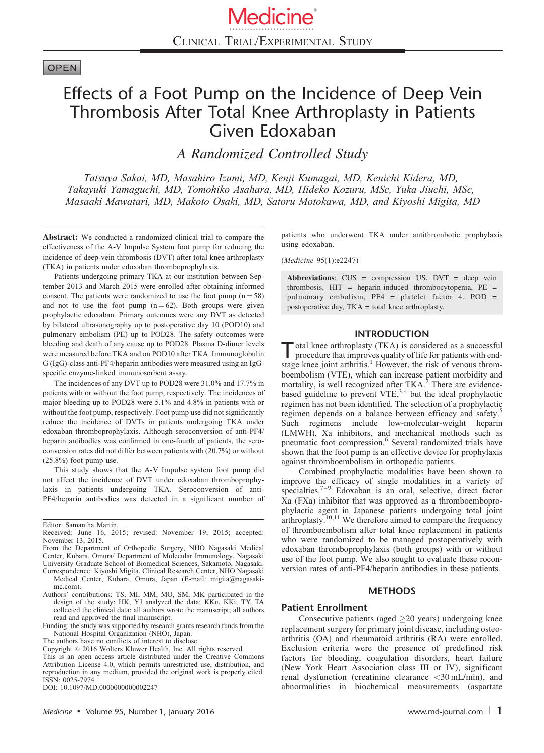# **OPEN**

# Effects of a Foot Pump on the Incidence of Deep Vein Thrombosis After Total Knee Arthroplasty in Patients Given Edoxaban

A Randomized Controlled Study

Tatsuya Sakai, MD, Masahiro Izumi, MD, Kenji Kumagai, MD, Kenichi Kidera, MD, Takayuki Yamaguchi, MD, Tomohiko Asahara, MD, Hideko Kozuru, MSc, Yuka Jiuchi, MSc, Masaaki Mawatari, MD, Makoto Osaki, MD, Satoru Motokawa, MD, and Kiyoshi Migita, MD

Abstract: We conducted a randomized clinical trial to compare the effectiveness of the A-V Impulse System foot pump for reducing the incidence of deep-vein thrombosis (DVT) after total knee arthroplasty (TKA) in patients under edoxaban thromboprophylaxis.

Patients undergoing primary TKA at our institution between September 2013 and March 2015 were enrolled after obtaining informed consent. The patients were randomized to use the foot pump  $(n = 58)$ and not to use the foot pump  $(n = 62)$ . Both groups were given prophylactic edoxaban. Primary outcomes were any DVT as detected by bilateral ultrasonography up to postoperative day 10 (POD10) and pulmonary embolism (PE) up to POD28. The safety outcomes were bleeding and death of any cause up to POD28. Plasma D-dimer levels were measured before TKA and on POD10 after TKA. Immunoglobulin G (IgG)-class anti-PF4/heparin antibodies were measured using an IgGspecific enzyme-linked immunosorbent assay.

The incidences of any DVT up to POD28 were 31.0% and 17.7% in patients with or without the foot pump, respectively. The incidences of major bleeding up to POD28 were 5.1% and 4.8% in patients with or without the foot pump, respectively. Foot pump use did not significantly reduce the incidence of DVTs in patients undergoing TKA under edoxaban thromboprophylaxis. Although seroconversion of anti-PF4/ heparin antibodies was confirmed in one-fourth of patients, the seroconversion rates did not differ between patients with (20.7%) or without (25.8%) foot pump use.

This study shows that the A-V Impulse system foot pump did not affect the incidence of DVT under edoxaban thromboprophylaxis in patients undergoing TKA. Seroconversion of anti-PF4/heparin antibodies was detected in a significant number of

Correspondence: Kiyoshi Migita, Clinical Research Center, NHO Nagasaki Medical Center, Kubara, Omura, Japan (E-mail: [migita@nagasaki](mailto:migita@nagasaki-mc.com)[mc.com](mailto:migita@nagasaki-mc.com)).

Funding: the study was supported by research grants research funds from the National Hospital Organization (NHO), Japan.

The authors have no conflicts of interest to disclose.

Copyright © 2016 Wolters Kluwer Health, Inc. All rights reserved.

patients who underwent TKA under antithrombotic prophylaxis using edoxaban.

(Medicine 95(1):e2247)

Abbreviations: CUS = compression US, DVT = deep vein thrombosis, HIT = heparin-induced thrombocytopenia, PE = pulmonary embolism, PF4 = platelet factor 4, POD = postoperative day, TKA = total knee arthroplasty.

## INTRODUCTION

Total knee arthroplasty (TKA) is considered as a successful<br>procedure that improves quality of life for patients with end-stage knee joint arthritis.<sup>[1](#page-6-0)</sup> However, the risk of venous thromboembolism (VTE), which can increase patient morbidity and mortality, is well recognized after TKA.<sup>[2](#page-6-0)</sup> There are evidencebased guideline to prevent  $VTE$ ,<sup>[3,4](#page-6-0)</sup> but the ideal prophylactic regimen has not been identified. The selection of a prophylactic regimen depends on a balance between efficacy and safety.<sup>[5](#page-6-0)</sup> Such regimens include low-molecular-weight heparin (LMWH), Xa inhibitors, and mechanical methods such as pneumatic foot compression.<sup>[6](#page-6-0)</sup> Several randomized trials have shown that the foot pump is an effective device for prophylaxis against thromboembolism in orthopedic patients.

Combined prophylactic modalities have been shown to improve the efficacy of single modalities in a variety of specialties.<sup>[7–9](#page-6-0)</sup> Edoxaban is an oral, selective, direct factor Xa (FXa) inhibitor that was approved as a thromboembopro-phylactic agent in Japanese patients undergoing total joint arthroplasty.<sup>[10,11](#page-6-0)</sup> We therefore aimed to compare the frequency of thromboembolism after total knee replacement in patients who were randomized to be managed postoperatively with edoxaban thromboprophylaxis (both groups) with or without use of the foot pump. We also sought to evaluate these roconversion rates of anti-PF4/heparin antibodies in these patients.

## METHODS

## Patient Enrollment

Consecutive patients (aged  $\geq$  20 years) undergoing knee replacement surgery for primary joint disease, including osteoarthritis (OA) and rheumatoid arthritis (RA) were enrolled. Exclusion criteria were the presence of predefined risk factors for bleeding, coagulation disorders, heart failure (New York Heart Association class III or IV), significant renal dysfunction (creatinine clearance <30 mL/min), and abnormalities in biochemical measurements (aspartate

Editor: Samantha Martin.

Received: June 16, 2015; revised: November 19, 2015; accepted: November 13, 2015.

From the Department of Orthopedic Surgery, NHO Nagasaki Medical Center, Kubara, Omura/ Department of Molecular Immunology, Nagasaki University Graduate School of Biomedical Sciences, Sakamoto, Nagasaki.

Authors' contributions: TS, MI, MM, MO, SM, MK participated in the design of the study; HK, YJ analyzed the data; KKu, KKi, TY, TA collected the clinical data; all authors wrote the manuscript; all authors read and approved the final manuscript.

This is an open access article distributed under the Creative Commons Attribution License 4.0, which permits unrestricted use, distribution, and reproduction in any medium, provided the original work is properly cited. ISSN: 0025-7974

DOI: [10.1097/MD.0000000000002247](http://dx.doi.org/10.1097/MD.0000000000002247)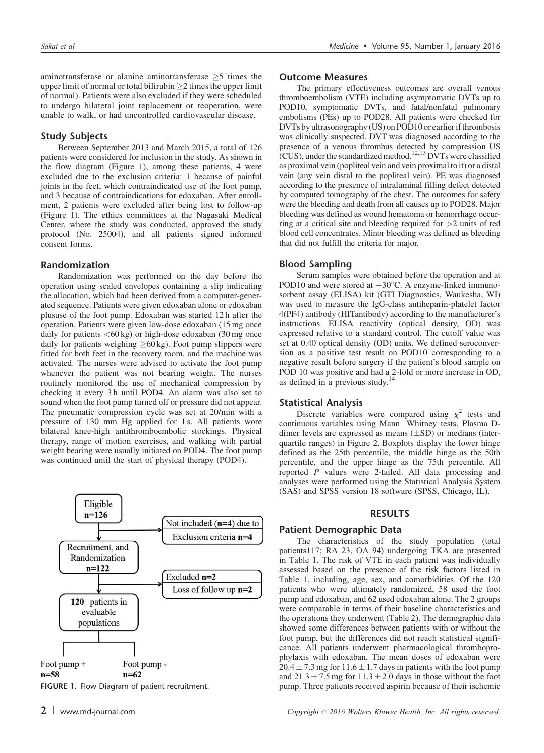aminotransferase or alanine aminotransferase  $\geq$ 5 times the upper limit of normal or total bilirubin  $\geq$  2 times the upper limit of normal). Patients were also excluded if they were scheduled to undergo bilateral joint replacement or reoperation, were unable to walk, or had uncontrolled cardiovascular disease.

# Study Subjects

Between September 2013 and March 2015, a total of 126 patients were considered for inclusion in the study. As shown in the flow diagram (Figure 1), among these patients, 4 were excluded due to the exclusion criteria: 1 because of painful joints in the feet, which contraindicated use of the foot pump, and 3 because of contraindications for edoxaban. After enrollment, 2 patients were excluded after being lost to follow-up (Figure 1). The ethics committees at the Nagasaki Medical Center, where the study was conducted, approved the study protocol (No. 25004), and all patients signed informed consent forms.

# Randomization

Randomization was performed on the day before the operation using sealed envelopes containing a slip indicating the allocation, which had been derived from a computer-generated sequence. Patients were given edoxaban alone or edoxaban plususe of the foot pump. Edoxaban was started 12 h after the operation. Patients were given low-dose edoxaban (15 mg once daily for patients  $\langle 60 \text{ kg} \rangle$  or high-dose edoxaban (30 mg once daily for patients weighing  $\geq 60 \text{ kg}$ ). Foot pump slippers were fitted for both feet in the recovery room, and the machine was activated. The nurses were advised to activate the foot pump whenever the patient was not bearing weight. The nurses routinely monitored the use of mechanical compression by checking it every 3 h until POD4. An alarm was also set to sound when the foot pump turned off or pressure did not appear. The pneumatic compression cycle was set at 20/min with a pressure of 130 mm Hg applied for 1 s. All patients wore bilateral knee-high antithromboembolic stockings. Physical therapy, range of motion exercises, and walking with partial weight bearing were usually initiated on POD4. The foot pump was continued until the start of physical therapy (POD4).



## Outcome Measures

The primary effectiveness outcomes are overall venous thromboembolism (VTE) including asymptomatic DVTs up to POD10, symptomatic DVTs, and fatal/nonfatal pulmonary embolisms (PEs) up to POD28. All patients were checked for DVTs by ultrasonography (US) on POD10 or earlier if thrombosis was clinically suspected. DVT was diagnosed according to the presence of a venous thrombus detected by compression US (CUS), under the standardized method.<sup>[12,13](#page-7-0)</sup> DVTs were classified as proximal vein (popliteal vein and vein proximal to it) or a distal vein (any vein distal to the popliteal vein). PE was diagnosed according to the presence of intraluminal filling defect detected by computed tomography of the chest. The outcomes for safety were the bleeding and death from all causes up to POD28. Major bleeding was defined as wound hematoma or hemorrhage occurring at a critical site and bleeding required for >2 units of red blood cell concentrates. Minor bleeding was defined as bleeding that did not fulfill the criteria for major.

#### Blood Sampling

Serum samples were obtained before the operation and at POD10 and were stored at  $-30^{\circ}$ C. A enzyme-linked immunosorbent assay (ELISA) kit (GTI Diagnostics, Waukesha, WI) was used to measure the IgG-class antiheparin-platelet factor 4(PF4) antibody (HITantibody) according to the manufacturer's instructions. ELISA reactivity (optical density, OD) was expressed relative to a standard control. The cutoff value was set at 0.40 optical density (OD) units. We defined seroconversion as a positive test result on POD10 corresponding to a negative result before surgery if the patient's blood sample on POD 10 was positive and had a 2-fold or more increase in OD, as defined in a previous study.[14](#page-7-0)

#### Statistical Analysis

Discrete variables were compared using  $\chi^2$  tests and continuous variables using Mann-Whitney tests. Plasma Ddimer levels are expressed as means  $(\pm SD)$  or medians (interquartile ranges) in [Figure 2.](#page-2-0) Boxplots display the lower hinge defined as the 25th percentile, the middle hinge as the 50th percentile, and the upper hinge as the 75th percentile. All reported P values were 2-tailed. All data processing and analyses were performed using the Statistical Analysis System (SAS) and SPSS version 18 software (SPSS, Chicago, IL).

## RESULTS

## Patient Demographic Data

The characteristics of the study population (total patients117; RA 23, OA 94) undergoing TKA are presented in [Table 1](#page-2-0). The risk of VTE in each patient was individually assessed based on the presence of the risk factors listed in [Table 1,](#page-2-0) including, age, sex, and comorbidities. Of the 120 patients who were ultimately randomized, 58 used the foot pump and edoxaban, and 62 used edoxaban alone. The 2 groups were comparable in terms of their baseline characteristics and the operations they underwent ([Table 2\)](#page-3-0). The demographic data showed some differences between patients with or without the foot pump, but the differences did not reach statistical significance. All patients underwent pharmacological thromboprophylaxis with edoxaban. The mean doses of edoxaban were  $20.4 \pm 7.3$  mg for  $11.6 \pm 1.7$  days in patients with the foot pump and  $21.3 \pm 7.5$  mg for  $11.3 \pm 2.0$  days in those without the foot FIGURE 1. Flow Diagram of patient recruitment. pump. Three patients received aspirin because of their ischemic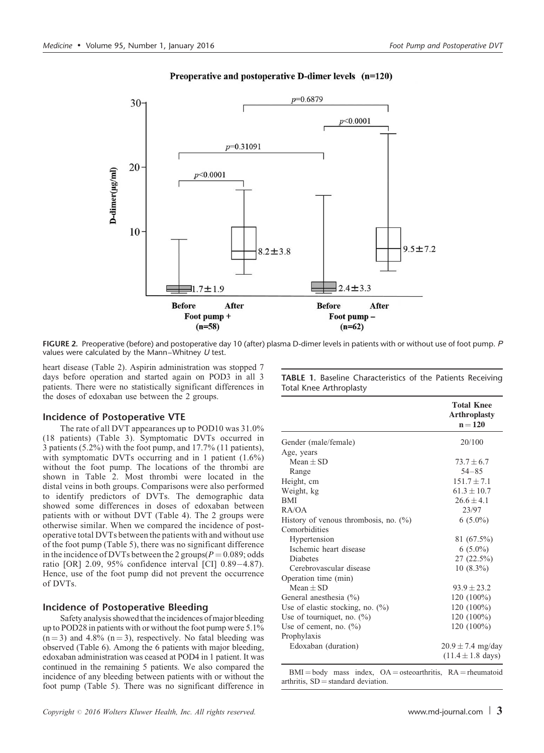<span id="page-2-0"></span>

# Preoperative and postoperative D-dimer levels (n=120)

FIGURE 2. Preoperative (before) and postoperative day 10 (after) plasma D-dimer levels in patients with or without use of foot pump. P values were calculated by the Mann–Whitney  $U$  test.

heart disease [\(Table 2](#page-3-0)). Aspirin administration was stopped 7 days before operation and started again on POD3 in all 3 patients. There were no statistically significant differences in the doses of edoxaban use between the 2 groups.

## Incidence of Postoperative VTE

The rate of all DVT appearances up to POD10 was 31.0% (18 patients) ([Table 3](#page-3-0)). Symptomatic DVTs occurred in 3 patients (5.2%) with the foot pump, and 17.7% (11 patients), with symptomatic DVTs occurring and in 1 patient  $(1.6\%)$ without the foot pump. The locations of the thrombi are shown in [Table 2.](#page-3-0) Most thrombi were located in the distal veins in both groups. Comparisons were also performed to identify predictors of DVTs. The demographic data showed some differences in doses of edoxaban between patients with or without DVT ([Table 4](#page-4-0)). The 2 groups were otherwise similar. When we compared the incidence of postoperative total DVTs between the patients with and without use of the foot pump ([Table 5](#page-4-0)), there was no significant difference in the incidence of DVTs between the 2 groups( $P = 0.089$ ; odds ratio  $[OR]$  2.09, 95% confidence interval  $[CI]$  0.89-4.87). Hence, use of the foot pump did not prevent the occurrence of DVTs.

# Incidence of Postoperative Bleeding

Safety analysis showed that the incidences of major bleeding up to POD28 in patients with or without the foot pump were 5.1%  $(n=3)$  and 4.8%  $(n=3)$ , respectively. No fatal bleeding was observed [\(Table 6\)](#page-4-0). Among the 6 patients with major bleeding, edoxaban administration was ceased at POD4 in 1 patient. It was continued in the remaining 5 patients. We also compared the incidence of any bleeding between patients with or without the foot pump [\(Table 5](#page-4-0)). There was no significant difference in TABLE 1. Baseline Characteristics of the Patients Receiving Total Knee Arthroplasty

|                                          | <b>Total Knee</b><br><b>Arthroplasty</b><br>$n = 120$ |
|------------------------------------------|-------------------------------------------------------|
| Gender (male/female)                     | 20/100                                                |
| Age, years                               |                                                       |
| $Mean + SD$                              | $73.7 + 6.7$                                          |
| Range                                    | $54 - 85$                                             |
| Height, cm                               | $151.7 + 7.1$                                         |
| Weight, kg                               | $61.3 + 10.7$                                         |
| BMI                                      | $26.6 + 4.1$                                          |
| RA/OA                                    | 23/97                                                 |
| History of venous thrombosis, no. $(\%)$ | $6(5.0\%)$                                            |
| Comorbidities                            |                                                       |
| Hypertension                             | 81 (67.5%)                                            |
| Ischemic heart disease                   | $6(5.0\%)$                                            |
| <b>Diabetes</b>                          | $27(22.5\%)$                                          |
| Cerebrovascular disease                  | $10(8.3\%)$                                           |
| Operation time (min)                     |                                                       |
| $Mean + SD$                              | $93.9 + 23.2$                                         |
| General anesthesia (%)                   | 120 (100%)                                            |
| Use of elastic stocking, no. $(\%)$      | 120 (100%)                                            |
| Use of tourniquet, no. $(\%)$            | 120 (100%)                                            |
| Use of cement, no. (%)                   | 120 (100%)                                            |
| Prophylaxis                              |                                                       |
| Edoxaban (duration)                      | $20.9 \pm 7.4$ mg/day                                 |
|                                          | $(11.4 \pm 1.8 \text{ days})$                         |

 $BMI = body$  mass index,  $OA = osteoarthritis$ ,  $RA = rheumatoid$ arthritis,  $SD =$  standard deviation.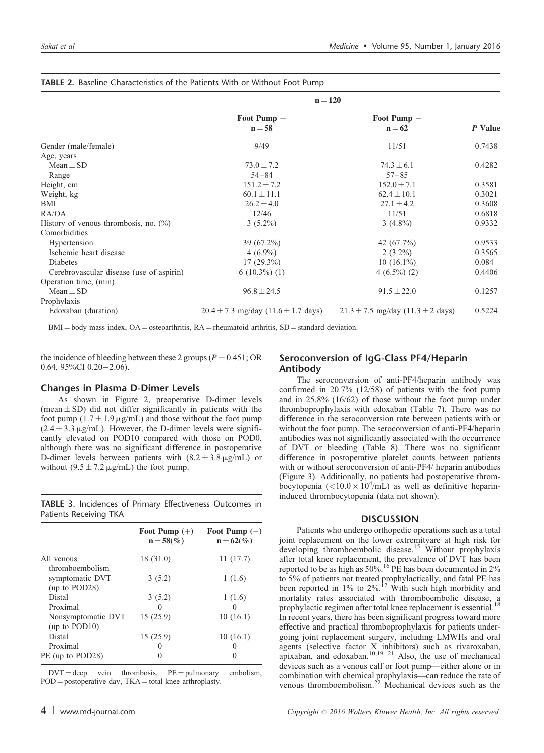|                                          | $n = 120$                                   |                                           |         |
|------------------------------------------|---------------------------------------------|-------------------------------------------|---------|
|                                          | Foot Pump $+$<br>$n = 58$                   | Foot Pump -<br>$n = 62$                   | P Value |
| Gender (male/female)                     | 9/49                                        | 11/51                                     | 0.7438  |
| Age, years                               |                                             |                                           |         |
| $Mean + SD$                              | $73.0 \pm 7.2$                              | $74.3 \pm 6.1$                            | 0.4282  |
| Range                                    | $54 - 84$                                   | $57 - 85$                                 |         |
| Height, cm                               | $151.2 \pm 7.2$                             | $152.0 \pm 7.1$                           | 0.3581  |
| Weight, kg                               | $60.1 \pm 11.1$                             | $62.4 \pm 10.1$                           | 0.3021  |
| <b>BMI</b>                               | $26.2 \pm 4.0$                              | $27.1 \pm 4.2$                            | 0.3608  |
| RA/OA                                    | 12/46                                       | 11/51                                     | 0.6818  |
| History of venous thrombosis, no. $(\%)$ | $3(5.2\%)$                                  | $3(4.8\%)$                                | 0.9332  |
| Comorbidities                            |                                             |                                           |         |
| Hypertension                             | $39(67.2\%)$                                | 42 (67.7%)                                | 0.9533  |
| Ischemic heart disease                   | $4(6.9\%)$                                  | $2(3.2\%)$                                | 0.3565  |
| <b>Diabetes</b>                          | $17(29.3\%)$                                | $10(16.1\%)$                              | 0.084   |
| Cerebrovascular disease (use of aspirin) | $6(10.3\%)(1)$                              | $4(6.5\%)(2)$                             | 0.4406  |
| Operation time, (min)                    |                                             |                                           |         |
| Mean $\pm$ SD                            | $96.8 \pm 24.5$                             | $91.5 \pm 22.0$                           | 0.1257  |
| Prophylaxis                              |                                             |                                           |         |
| Edoxaban (duration)                      | $20.4 \pm 7.3$ mg/day $(11.6 \pm 1.7$ days) | $21.3 \pm 7.5$ mg/day $(11.3 \pm 2$ days) | 0.5224  |

#### <span id="page-3-0"></span>TABLE 2. Baseline Characteristics of the Patients With or Without Foot Pump

the incidence of bleeding between these 2 groups ( $P = 0.451$ ; OR 0.64,  $95\%$ CI 0.20-2.06).

#### Changes in Plasma D-Dimer Levels

As shown in [Figure 2](#page-2-0), preoperative D-dimer levels (mean  $\pm$  SD) did not differ significantly in patients with the foot pump  $(1.7 \pm 1.9 \,\mu\text{g/mL})$  and those without the foot pump  $(2.4 \pm 3.3 \,\mu\text{g/mL})$ . However, the D-dimer levels were significantly elevated on POD10 compared with those on POD0, although there was no significant difference in postoperative D-dimer levels between patients with  $(8.2 \pm 3.8 \,\mu\text{g/mL})$  or without  $(9.5 \pm 7.2 \,\mu\text{g/mL})$  the foot pump.

TABLE 3. Incidences of Primary Effectiveness Outcomes in Patients Receiving TKA

|                                     | Foot Pump $(+)$<br>$n = 58(%)$ | Foot Pump $(-)$<br>$n = 62(%)$ |
|-------------------------------------|--------------------------------|--------------------------------|
| All venous<br>thromboembolism       | 18 (31.0)                      | 11(17.7)                       |
| symptomatic DVT<br>(up to POD28)    | 3(5.2)                         | 1(1.6)                         |
| Distal                              | 3(5.2)                         | 1(1.6)                         |
| Proximal                            | 0                              |                                |
| Nonsymptomatic DVT<br>(up to POD10) | 15(25.9)                       | 10(16.1)                       |
| Distal                              | 15(25.9)                       | 10(16.1)                       |
| Proximal                            |                                |                                |
| PE (up to POD28)                    |                                |                                |

 $DVT = deep$  vein thrombosis,  $PE = pulmonary$  embolism,  $POD = postoperative day, TKA = total knee arthroplasty.$ 

# Seroconversion of IgG-Class PF4/Heparin Antibody

The seroconversion of anti-PF4/heparin antibody was confirmed in 20.7% (12/58) of patients with the foot pump and in 25.8% (16/62) of those without the foot pump under thromboprophylaxis with edoxaban ([Table 7](#page-5-0)). There was no difference in the seroconversion rate between patients with or without the foot pump. The seroconversion of anti-PF4/heparin antibodies was not significantly associated with the occurrence of DVT or bleeding [\(Table 8\)](#page-5-0). There was no significant difference in postoperative platelet counts between patients with or without seroconversion of anti-PF4/ heparin antibodies (Figure 3). Additionally, no patients had postoperative thrombocytopenia (<10.0  $\times$  10<sup>4</sup>/mL) as well as definitive heparininduced thrombocytopenia (data not shown).

## **DISCUSSION**

Patients who undergo orthopedic operations such as a total joint replacement on the lower extremityare at high risk for developing thromboembolic disease.[15](#page-7-0) Without prophylaxis after total knee replacement, the prevalence of DVT has been reported to be as high as  $50\%$ .<sup>16</sup> PE has been documented in 2% to 5% of patients not treated prophylactically, and fatal PE has been reported in 1% to 2%.<sup>[17](#page-7-0)</sup> With such high morbidity and mortality rates associated with thromboembolic disease, a mortality rates associated with thromboembolic disease, a prophylactic regimen after total knee replacement is essential. In recent years, there has been significant progress toward more effective and practical thromboprophylaxis for patients undergoing joint replacement surgery, including LMWHs and oral agents (selective factor X inhibitors) such as rivaroxaban, apixaban, and edoxaban.<sup>[10,19–21](#page-6-0)</sup> Also, the use of mechanical devices such as a venous calf or foot pump—either alone or in combination with chemical prophylaxis—can reduce the rate of venous thromboembolism[.22](#page-7-0) Mechanical devices such as the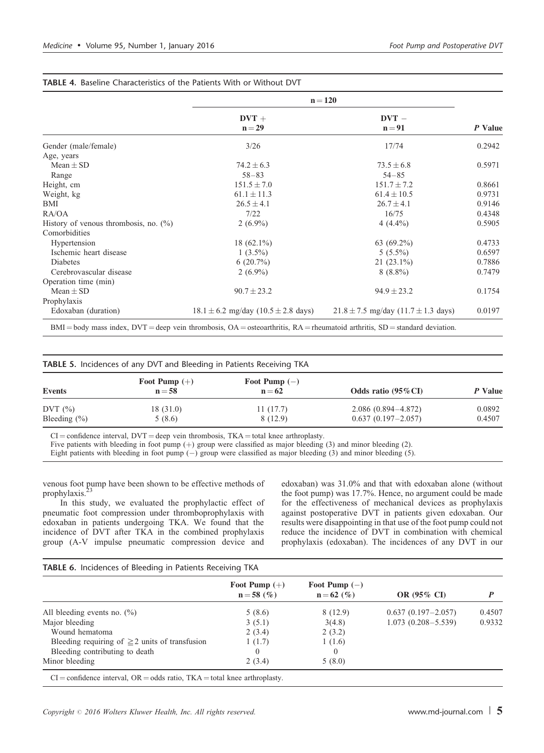|                                          | $n = 120$                                   |                                             |         |
|------------------------------------------|---------------------------------------------|---------------------------------------------|---------|
|                                          | $DVT +$<br>$n = 29$                         | $DVT -$<br>$n = 91$                         | P Value |
| Gender (male/female)                     | 3/26                                        | 17/74                                       | 0.2942  |
| Age, years                               |                                             |                                             |         |
| $Mean + SD$                              | $74.2 \pm 6.3$                              | $73.5 \pm 6.8$                              | 0.5971  |
| Range                                    | $58 - 83$                                   | $54 - 85$                                   |         |
| Height, cm                               | $151.5 \pm 7.0$                             | $151.7 \pm 7.2$                             | 0.8661  |
| Weight, kg                               | $61.1 \pm 11.3$                             | $61.4 \pm 10.5$                             | 0.9731  |
| <b>BMI</b>                               | $26.5 \pm 4.1$                              | $26.7 \pm 4.1$                              | 0.9146  |
| RA/OA                                    | 7/22                                        | 16/75                                       | 0.4348  |
| History of venous thrombosis, no. $(\%)$ | $2(6.9\%)$                                  | $4(4.4\%)$                                  | 0.5905  |
| Comorbidities                            |                                             |                                             |         |
| Hypertension                             | $18(62.1\%)$                                | 63 $(69.2\%)$                               | 0.4733  |
| Ischemic heart disease                   | $1(3.5\%)$                                  | $5(5.5\%)$                                  | 0.6597  |
| <b>Diabetes</b>                          | $6(20.7\%)$                                 | $21(23.1\%)$                                | 0.7886  |
| Cerebrovascular disease                  | $2(6.9\%)$                                  | $8(8.8\%)$                                  | 0.7479  |
| Operation time (min)                     |                                             |                                             |         |
| $Mean \pm SD$                            | $90.7 \pm 23.2$                             | $94.9 \pm 23.2$                             | 0.1754  |
| Prophylaxis                              |                                             |                                             |         |
| Edoxaban (duration)                      | $18.1 \pm 6.2$ mg/day $(10.5 \pm 2.8$ days) | $21.8 \pm 7.5$ mg/day (11.7 $\pm$ 1.3 days) | 0.0197  |

## <span id="page-4-0"></span>TABLE 4. Baseline Characteristics of the Patients With or Without DVT

TABLE 5. Incidences of any DVT and Bleeding in Patients Receiving TKA

| <b>Events</b>    | Foot Pump $(+)$<br>$n = 58$ | Foot Pump $(-)$<br>$n = 62$ | Odds ratio $(95\% \text{ CI})$ | P Value |
|------------------|-----------------------------|-----------------------------|--------------------------------|---------|
| DVT $(\%)$       | 18(31.0)                    | 11(17.7)                    | $2.086(0.894 - 4.872)$         | 0.0892  |
| Bleeding $(\% )$ | 5(8.6)                      | 8 (12.9)                    | $0.637(0.197-2.057)$           | 0.4507  |

 $CI =$  confidence interval,  $DVT =$  deep vein thrombosis,  $TKA =$  total knee arthroplasty.

Five patients with bleeding in foot pump  $(+)$  group were classified as major bleeding (3) and minor bleeding (2).

Eight patients with bleeding in foot pump  $(-)$  group were classified as major bleeding  $(3)$  and minor bleeding  $(5)$ .

venous foot pump have been shown to be effective methods of prophylaxis. $<sup>2</sup>$ </sup>

In this study, we evaluated the prophylactic effect of pneumatic foot compression under thromboprophylaxis with edoxaban in patients undergoing TKA. We found that the incidence of DVT after TKA in the combined prophylaxis group (A-V impulse pneumatic compression device and

edoxaban) was 31.0% and that with edoxaban alone (without the foot pump) was 17.7%. Hence, no argument could be made for the effectiveness of mechanical devices as prophylaxis against postoperative DVT in patients given edoxaban. Our results were disappointing in that use of the foot pump could not reduce the incidence of DVT in combination with chemical prophylaxis (edoxaban). The incidences of any DVT in our

## TABLE 6. Incidences of Bleeding in Patients Receiving TKA

|                                                     | Foot Pump $(+)$<br>$n = 58$ (%) | Foot Pump $(-)$<br>$n = 62$ (%) | OR (95% CI)            |        |
|-----------------------------------------------------|---------------------------------|---------------------------------|------------------------|--------|
| All bleeding events no. $(\%)$                      | 5(8.6)                          | 8(12.9)                         | $0.637(0.197 - 2.057)$ | 0.4507 |
| Major bleeding                                      | 3(5.1)                          | 3(4.8)                          | $1.073(0.208 - 5.539)$ | 0.9332 |
| Wound hematoma                                      | 2(3.4)                          | 2(3.2)                          |                        |        |
| Bleeding requiring of $\geq$ 2 units of transfusion | 1(1.7)                          | 1(1.6)                          |                        |        |
| Bleeding contributing to death                      |                                 |                                 |                        |        |
| Minor bleeding                                      | 2(3.4)                          | 5(8.0)                          |                        |        |

 $CI =$ confidence interval,  $OR =$ odds ratio,  $TKA =$ total knee arthroplasty.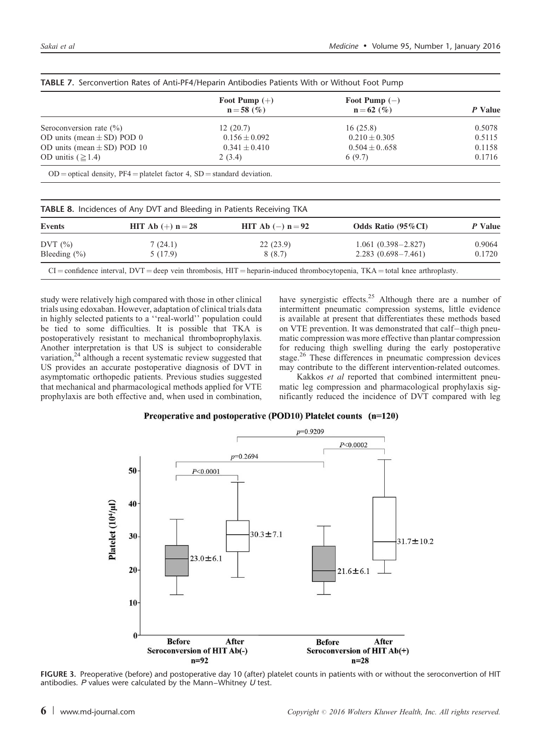|                                 | Foot Pump $(+)$<br>$n = 58$ (%) | Foot Pump $(-)$<br>$n = 62$ (%) | P Value |
|---------------------------------|---------------------------------|---------------------------------|---------|
| Seroconversion rate $(\% )$     | 12(20.7)                        | 16(25.8)                        | 0.5078  |
| OD units (mean $\pm$ SD) POD 0  | $0.156 \pm 0.092$               | $0.210 \pm 0.305$               | 0.5115  |
| OD units (mean $\pm$ SD) POD 10 | $0.341 \pm 0.410$               | $0.504 \pm 0.658$               | 0.1158  |
| OD unitis $(\geq 1.4)$          | 2(3.4)                          | 6(9.7)                          | 0.1716  |

<span id="page-5-0"></span>TABLE 7. Serconvertion Rates of Anti-PF4/Heparin Antibodies Patients With or Without Foot Pump

| Events           | <b>HIT</b> Ab $(+)$ n = 28 | <b>HIT</b> Ab $(-)$ n = 92 | Odds Ratio $(95\%$ CI) | P Value |
|------------------|----------------------------|----------------------------|------------------------|---------|
| DVT $(\%)$       | 7(24.1)                    | 22(23.9)                   | $1.061(0.398 - 2.827)$ | 0.9064  |
| Bleeding $(\% )$ | 5(17.9)                    | 8(8.7)                     | $2.283(0.698 - 7.461)$ | 0.1720  |

study were relatively high compared with those in other clinical trials using edoxaban. However, adaptation of clinical trials data in highly selected patients to a ''real-world'' population could be tied to some difficulties. It is possible that TKA is postoperatively resistant to mechanical thromboprophylaxis. Another interpretation is that US is subject to considerable variation, $24$  although a recent systematic review suggested that US provides an accurate postoperative diagnosis of DVT in asymptomatic orthopedic patients. Previous studies suggested that mechanical and pharmacological methods applied for VTE prophylaxis are both effective and, when used in combination,

have synergistic effects.<sup>[25](#page-7-0)</sup> Although there are a number of intermittent pneumatic compression systems, little evidence is available at present that differentiates these methods based on VTE prevention. It was demonstrated that calf-thigh pneumatic compression was more effective than plantar compression for reducing thigh swelling during the early postoperative stage.<sup>[26](#page-7-0)</sup> These differences in pneumatic compression devices may contribute to the different intervention-related outcomes.

Kakkos et al reported that combined intermittent pneumatic leg compression and pharmacological prophylaxis significantly reduced the incidence of DVT compared with leg

## Preoperative and postoperative (POD10) Platelet counts (n=120)



FIGURE 3. Preoperative (before) and postoperative day 10 (after) platelet counts in patients with or without the seroconvertion of HIT antibodies.  $P$  values were calculated by the Mann–Whitney  $U$  test.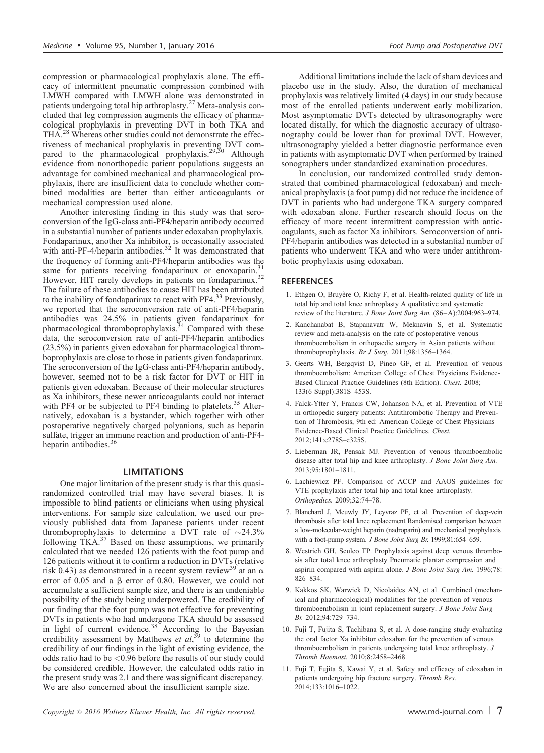<span id="page-6-0"></span>compression or pharmacological prophylaxis alone. The efficacy of intermittent pneumatic compression combined with LMWH compared with LMWH alone was demonstrated in patients undergoing total hip arthroplasty.<sup>[27](#page-7-0)</sup> Meta-analysis concluded that leg compression augments the efficacy of pharmacological prophylaxis in preventing DVT in both TKA and THA.<sup>[28](#page-7-0)</sup> Whereas other studies could not demonstrate the effectiveness of mechanical prophylaxis in preventing DVT com-pared to the pharmacological prophylaxis.<sup>[29,30](#page-7-0)</sup> Although evidence from nonorthopedic patient populations suggests an advantage for combined mechanical and pharmacological prophylaxis, there are insufficient data to conclude whether combined modalities are better than either anticoagulants or mechanical compression used alone.

Another interesting finding in this study was that seroconversion of the IgG-class anti-PF4/heparin antibody occurred in a substantial number of patients under edoxaban prophylaxis. Fondaparinux, another Xa inhibitor, is occasionally associated with anti-PF-4/heparin antibodies.<sup>[32](#page-7-0)</sup> It was demonstrated that the frequency of forming anti-PF4/heparin antibodies was the same for patients receiving fondaparinux or enoxaparin.<sup>[31](#page-7-0)</sup> However, HIT rarely develops in patients on fondaparinux.<sup>[32](#page-7-0)</sup> The failure of these antibodies to cause HIT has been attributed to the inability of fondaparinux to react with PF4.<sup>[33](#page-7-0)</sup> Previously, we reported that the seroconversion rate of anti-PF4/heparin antibodies was 24.5% in patients given fondaparinux for pharmacological thromboprophylaxis.<sup>[34](#page-7-0)</sup> Compared with these data, the seroconversion rate of anti-PF4/heparin antibodies (23.5%) in patients given edoxaban for pharmacological thromboprophylaxis are close to those in patients given fondaparinux. The seroconversion of the IgG-class anti-PF4/heparin antibody, however, seemed not to be a risk factor for DVT or HIT in patients given edoxaban. Because of their molecular structures as Xa inhibitors, these newer anticoagulants could not interact with PF4 or be subjected to PF4 binding to platelets.<sup>[35](#page-7-0)</sup> Alternatively, edoxaban is a bystander, which together with other postoperative negatively charged polyanions, such as heparin sulfate, trigger an immune reaction and production of anti-PF4- heparin antibodies.<sup>[36](#page-7-0)</sup>

# **LIMITATIONS**

One major limitation of the present study is that this quasirandomized controlled trial may have several biases. It is impossible to blind patients or clinicians when using physical interventions. For sample size calculation, we used our previously published data from Japanese patients under recent thromboprophylaxis to determine a DVT rate of  $\sim$ 24.3% following TKA. $^{37}$  $^{37}$  $^{37}$  Based on these assumptions, we primarily calculated that we needed 126 patients with the foot pump and 126 patients without it to confirm a reduction in DVTs (relative risk 0.43) as demonstrated in a recent system review<sup>[39](#page-7-0)</sup> at an  $\alpha$ error of 0.05 and a  $\beta$  error of 0.80. However, we could not accumulate a sufficient sample size, and there is an undeniable possibility of the study being underpowered. The credibility of our finding that the foot pump was not effective for preventing DVTs in patients who had undergone TKA should be assessed in light of current evidence.<sup>[38](#page-7-0)</sup> According to the Bayesian credibility assessment by Matthews et  $al$ ,<sup>[39](#page-7-0)</sup> to determine the credibility of our findings in the light of existing evidence, the odds ratio had to be <0.96 before the results of our study could be considered credible. However, the calculated odds ratio in the present study was 2.1 and there was significant discrepancy. We are also concerned about the insufficient sample size.

Additional limitations include the lack of sham devices and placebo use in the study. Also, the duration of mechanical prophylaxis was relatively limited (4 days) in our study because most of the enrolled patients underwent early mobilization. Most asymptomatic DVTs detected by ultrasonography were located distally, for which the diagnostic accuracy of ultrasonography could be lower than for proximal DVT. However, ultrasonography yielded a better diagnostic performance even in patients with asymptomatic DVT when performed by trained sonographers under standardized examination procedures.

In conclusion, our randomized controlled study demonstrated that combined pharmacological (edoxaban) and mechanical prophylaxis (a foot pump) did not reduce the incidence of DVT in patients who had undergone TKA surgery compared with edoxaban alone. Further research should focus on the efficacy of more recent intermittent compression with anticoagulants, such as factor Xa inhibitors. Seroconversion of anti-PF4/heparin antibodies was detected in a substantial number of patients who underwent TKA and who were under antithrombotic prophylaxis using edoxaban.

## **REFERENCES**

- 1. Ethgen O, Bruyère O, Richy F, et al. Health-related quality of life in total hip and total knee arthroplasty A qualitative and systematic review of the literature. J Bone Joint Surg Am. (86–A):2004:963–974.
- 2. Kanchanabat B, Stapanavatr W, Meknavin S, et al. Systematic review and meta-analysis on the rate of postoperative venous thromboembolism in orthopaedic surgery in Asian patients without thromboprophylaxis. Br J Surg. 2011;98:1356–1364.
- 3. Geerts WH, Bergqvist D, Pineo GF, et al. Prevention of venous thromboembolism: American College of Chest Physicians Evidence-Based Clinical Practice Guidelines (8th Edition). Chest. 2008; 133(6 Suppl):381S–453S.
- 4. Falck-Ytter Y, Francis CW, Johanson NA, et al. Prevention of VTE in orthopedic surgery patients: Antithrombotic Therapy and Prevention of Thrombosis, 9th ed: American College of Chest Physicians Evidence-Based Clinical Practice Guidelines. Chest. 2012;141:e278S–e325S.
- 5. Lieberman JR, Pensak MJ. Prevention of venous thromboembolic disease after total hip and knee arthroplasty. J Bone Joint Surg Am. 2013;95:1801–1811.
- 6. Lachiewicz PF. Comparison of ACCP and AAOS guidelines for VTE prophylaxis after total hip and total knee arthroplasty. Orthopedics. 2009;32:74–78.
- 7. Blanchard J, Meuwly JY, Leyvraz PF, et al. Prevention of deep-vein thrombosis after total knee replacement Randomised comparison between a low-molecular-weight heparin (nadroparin) and mechanical prophylaxis with a foot-pump system. J Bone Joint Surg Br. 1999;81:654–659.
- 8. Westrich GH, Sculco TP. Prophylaxis against deep venous thrombosis after total knee arthroplasty Pneumatic plantar compression and aspirin compared with aspirin alone. J Bone Joint Surg Am. 1996;78: 826–834.
- 9. Kakkos SK, Warwick D, Nicolaides AN, et al. Combined (mechanical and pharmacological) modalities for the prevention of venous thromboembolism in joint replacement surgery. J Bone Joint Surg Br. 2012;94:729–734.
- 10. Fuji T, Fujita S, Tachibana S, et al. A dose-ranging study evaluating the oral factor Xa inhibitor edoxaban for the prevention of venous thromboembolism in patients undergoing total knee arthroplasty. J Thromb Haemost. 2010;8:2458–2468.
- 11. Fuji T, Fujita S, Kawai Y, et al. Safety and efficacy of edoxaban in patients undergoing hip fracture surgery. Thromb Res. 2014;133:1016–1022.